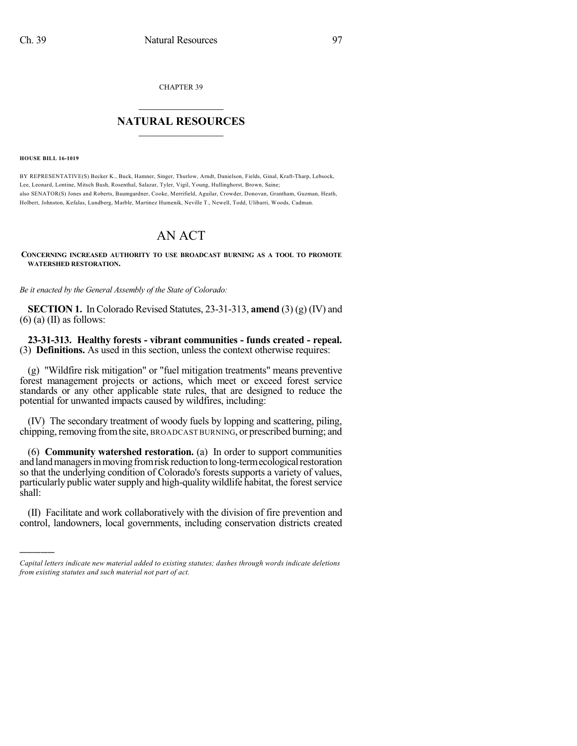CHAPTER 39

## $\mathcal{L}_\text{max}$  . The set of the set of the set of the set of the set of the set of the set of the set of the set of the set of the set of the set of the set of the set of the set of the set of the set of the set of the set **NATURAL RESOURCES**  $\frac{1}{\sqrt{2}}$  , where  $\frac{1}{\sqrt{2}}$  ,  $\frac{1}{\sqrt{2}}$  ,  $\frac{1}{\sqrt{2}}$

**HOUSE BILL 16-1019**

)))))

BY REPRESENTATIVE(S) Becker K., Buck, Hamner, Singer, Thurlow, Arndt, Danielson, Fields, Ginal, Kraft-Tharp, Lebsock, Lee, Leonard, Lontine, Mitsch Bush, Rosenthal, Salazar, Tyler, Vigil, Young, Hullinghorst, Brown, Saine; also SENATOR(S) Jones and Roberts, Baumgardner, Cooke, Merrifield, Aguilar, Crowder, Donovan, Grantham, Guzman, Heath, Holbert, Johnston, Kefalas, Lundberg, Marble, Martinez Humenik, Neville T., Newell, Todd, Ulibarri, Woods, Cadman.

## AN ACT

## **CONCERNING INCREASED AUTHORITY TO USE BROADCAST BURNING AS A TOOL TO PROMOTE WATERSHED RESTORATION.**

*Be it enacted by the General Assembly of the State of Colorado:*

**SECTION 1.** In Colorado Revised Statutes, 23-31-313, **amend** (3) (g) (IV) and  $(6)$  (a) (II) as follows:

**23-31-313. Healthy forests - vibrant communities - funds created - repeal.** (3) **Definitions.** As used in this section, unless the context otherwise requires:

(g) "Wildfire risk mitigation" or "fuel mitigation treatments" means preventive forest management projects or actions, which meet or exceed forest service standards or any other applicable state rules, that are designed to reduce the potential for unwanted impacts caused by wildfires, including:

(IV) The secondary treatment of woody fuels by lopping and scattering, piling, chipping, removing from the site, BROADCAST BURNING, or prescribed burning; and

(6) **Community watershed restoration.** (a) In order to support communities and land managers in moving from risk reduction to long-term ecological restoration so that the underlying condition of Colorado's forests supports a variety of values, particularly public water supply and high-quality wildlife habitat, the forest service shall:

(II) Facilitate and work collaboratively with the division of fire prevention and control, landowners, local governments, including conservation districts created

*Capital letters indicate new material added to existing statutes; dashes through words indicate deletions from existing statutes and such material not part of act.*